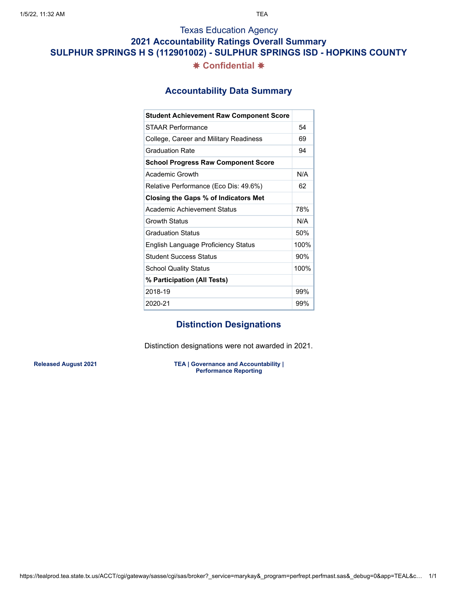### **2021 Accountability Ratings Overall Summary**

**SULPHUR SPRINGS H S (112901002) - SULPHUR SPRINGS ISD - HOPKINS COUNTY**

### ✸ **Confidential** ✸

### **Accountability Data Summary**

| <b>Student Achievement Raw Component Score</b> |      |
|------------------------------------------------|------|
| STAAR Performance                              | 54   |
| College, Career and Military Readiness         | 69   |
| <b>Graduation Rate</b>                         | 94   |
| <b>School Progress Raw Component Score</b>     |      |
| Academic Growth                                | N/A  |
| Relative Performance (Eco Dis: 49.6%)          | 62   |
| Closing the Gaps % of Indicators Met           |      |
| Academic Achievement Status                    | 78%  |
| <b>Growth Status</b>                           | N/A  |
| <b>Graduation Status</b>                       | 50%  |
| English Language Proficiency Status            | 100% |
| <b>Student Success Status</b>                  | 90%  |
| <b>School Quality Status</b>                   | 100% |
| % Participation (All Tests)                    |      |
| 2018-19                                        | 99%  |
| 2020-21                                        | 99%  |

## **Distinction Designations**

Distinction designations were not awarded in 2021.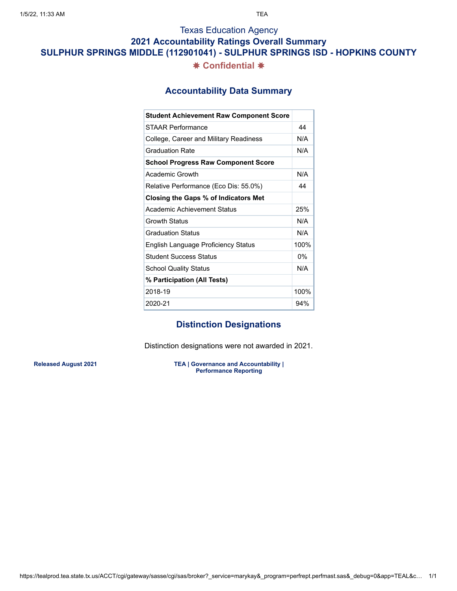### **2021 Accountability Ratings Overall Summary**

**SULPHUR SPRINGS MIDDLE (112901041) - SULPHUR SPRINGS ISD - HOPKINS COUNTY**

### ✸ **Confidential** ✸

### **Accountability Data Summary**

| <b>Student Achievement Raw Component Score</b> |       |
|------------------------------------------------|-------|
| STAAR Performance                              | 44    |
| College, Career and Military Readiness         | N/A   |
| <b>Graduation Rate</b>                         | N/A   |
| <b>School Progress Raw Component Score</b>     |       |
| Academic Growth                                | N/A   |
| Relative Performance (Eco Dis: 55.0%)          | 44    |
| Closing the Gaps % of Indicators Met           |       |
| Academic Achievement Status                    | 25%   |
| Growth Status                                  | N/A   |
| <b>Graduation Status</b>                       | N/A   |
| English Language Proficiency Status            | 100%  |
| <b>Student Success Status</b>                  | $0\%$ |
| <b>School Quality Status</b>                   | N/A   |
| % Participation (All Tests)                    |       |
| 2018-19                                        | 100%  |
| 2020-21                                        | 94%   |

# **Distinction Designations**

Distinction designations were not awarded in 2021.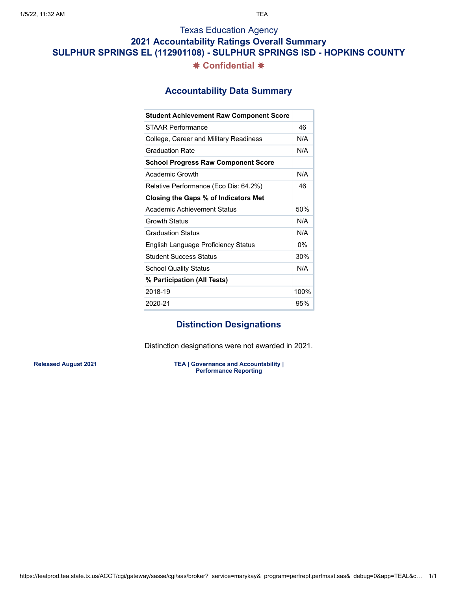### **2021 Accountability Ratings Overall Summary**

**SULPHUR SPRINGS EL (112901108) - SULPHUR SPRINGS ISD - HOPKINS COUNTY**

### ✸ **Confidential** ✸

### **Accountability Data Summary**

| <b>Student Achievement Raw Component Score</b> |      |
|------------------------------------------------|------|
| STAAR Performance                              | 46   |
| College, Career and Military Readiness         | N/A  |
| <b>Graduation Rate</b>                         | N/A  |
| <b>School Progress Raw Component Score</b>     |      |
| Academic Growth                                | N/A  |
| Relative Performance (Eco Dis: 64.2%)          | 46   |
| Closing the Gaps % of Indicators Met           |      |
| Academic Achievement Status                    | 50%  |
| Growth Status                                  | N/A  |
| <b>Graduation Status</b>                       | N/A  |
| English Language Proficiency Status            | 0%   |
| <b>Student Success Status</b>                  | 30%  |
| <b>School Quality Status</b>                   | N/A  |
| % Participation (All Tests)                    |      |
| 2018-19                                        | 100% |
| 2020-21                                        | 95%  |

## **Distinction Designations**

Distinction designations were not awarded in 2021.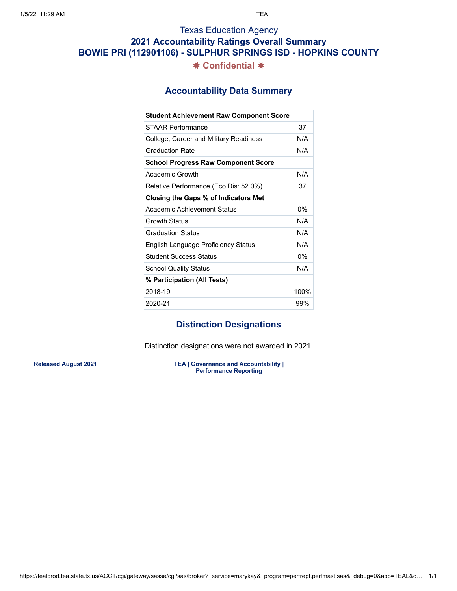# Texas Education Agency **2021 Accountability Ratings Overall Summary BOWIE PRI (112901106) - SULPHUR SPRINGS ISD - HOPKINS COUNTY** ✸ **Confidential** ✸

### **Accountability Data Summary**

| <b>Student Achievement Raw Component Score</b> |       |
|------------------------------------------------|-------|
| STAAR Performance                              | 37    |
| College, Career and Military Readiness         | N/A   |
| <b>Graduation Rate</b>                         | N/A   |
| <b>School Progress Raw Component Score</b>     |       |
| Academic Growth                                | N/A   |
| Relative Performance (Eco Dis: 52.0%)          | 37    |
| Closing the Gaps % of Indicators Met           |       |
| Academic Achievement Status                    | 0%    |
| Growth Status                                  | N/A   |
| <b>Graduation Status</b>                       | N/A   |
| English Language Proficiency Status            | N/A   |
| <b>Student Success Status</b>                  | $0\%$ |
| <b>School Quality Status</b>                   | N/A   |
| % Participation (All Tests)                    |       |
| 2018-19                                        | 100%  |
| 2020-21                                        | 99%   |

## **Distinction Designations**

Distinction designations were not awarded in 2021.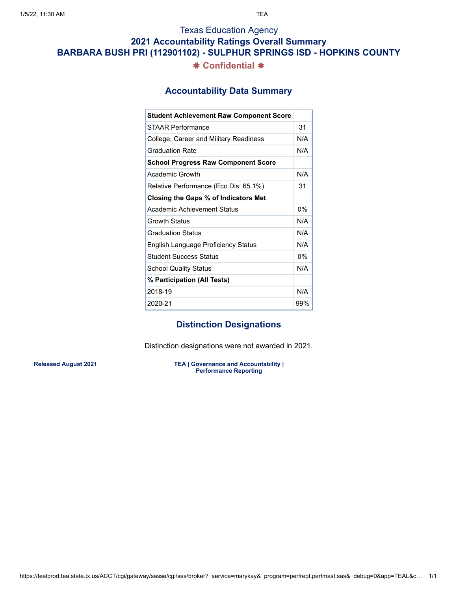### **2021 Accountability Ratings Overall Summary**

**BARBARA BUSH PRI (112901102) - SULPHUR SPRINGS ISD - HOPKINS COUNTY**

### ✸ **Confidential** ✸

### **Accountability Data Summary**

| <b>Student Achievement Raw Component Score</b> |     |
|------------------------------------------------|-----|
| STAAR Performance                              | 31  |
| College, Career and Military Readiness         | N/A |
| <b>Graduation Rate</b>                         | N/A |
| <b>School Progress Raw Component Score</b>     |     |
| Academic Growth                                | N/A |
| Relative Performance (Eco Dis: 65.1%)          | 31  |
| Closing the Gaps % of Indicators Met           |     |
| Academic Achievement Status                    | 0%  |
| <b>Growth Status</b>                           | N/A |
| <b>Graduation Status</b>                       | N/A |
| English Language Proficiency Status            | N/A |
| <b>Student Success Status</b>                  | 0%  |
| <b>School Quality Status</b>                   | N/A |
| % Participation (All Tests)                    |     |
| 2018-19                                        | N/A |
| 2020-21                                        | 99% |

## **Distinction Designations**

Distinction designations were not awarded in 2021.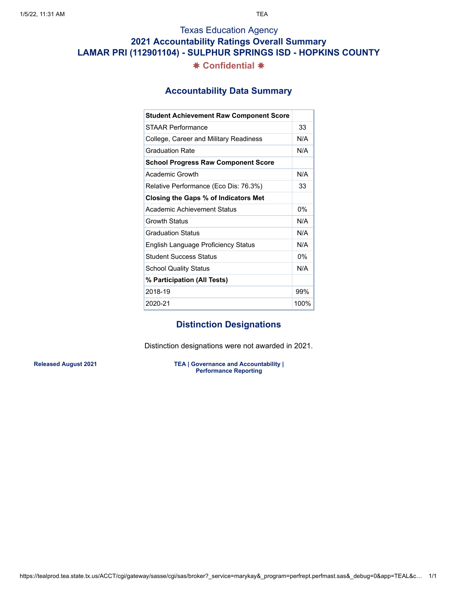# Texas Education Agency **2021 Accountability Ratings Overall Summary LAMAR PRI (112901104) - SULPHUR SPRINGS ISD - HOPKINS COUNTY** ✸ **Confidential** ✸

### **Accountability Data Summary**

| <b>Student Achievement Raw Component Score</b> |       |
|------------------------------------------------|-------|
| STAAR Performance                              | 33    |
| College, Career and Military Readiness         | N/A   |
| <b>Graduation Rate</b>                         | N/A   |
| <b>School Progress Raw Component Score</b>     |       |
| Academic Growth                                | N/A   |
| Relative Performance (Eco Dis: 76.3%)          | 33    |
| Closing the Gaps % of Indicators Met           |       |
| Academic Achievement Status                    | $0\%$ |
| Growth Status                                  | N/A   |
| <b>Graduation Status</b>                       | N/A   |
| English Language Proficiency Status            | N/A   |
| <b>Student Success Status</b>                  | $0\%$ |
| <b>School Quality Status</b>                   | N/A   |
| % Participation (All Tests)                    |       |
| 2018-19                                        | 99%   |
| 2020-21                                        | 100%  |

### **Distinction Designations**

Distinction designations were not awarded in 2021.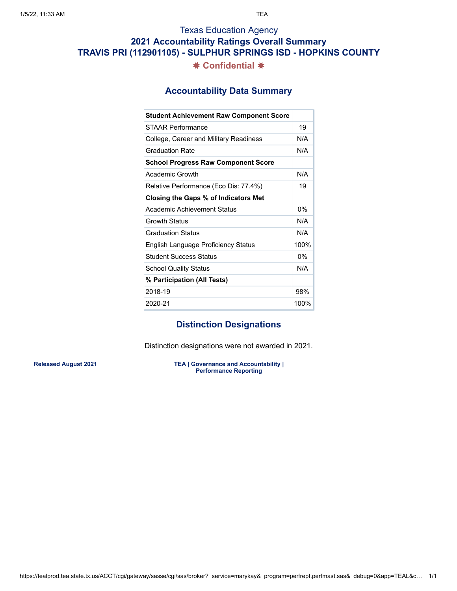# Texas Education Agency **2021 Accountability Ratings Overall Summary TRAVIS PRI (112901105) - SULPHUR SPRINGS ISD - HOPKINS COUNTY** ✸ **Confidential** ✸

### **Accountability Data Summary**

| <b>Student Achievement Raw Component Score</b> |       |
|------------------------------------------------|-------|
| STAAR Performance                              | 19    |
| College, Career and Military Readiness         | N/A   |
| <b>Graduation Rate</b>                         | N/A   |
| <b>School Progress Raw Component Score</b>     |       |
| Academic Growth                                | N/A   |
| Relative Performance (Eco Dis: 77.4%)          | 19    |
| Closing the Gaps % of Indicators Met           |       |
| Academic Achievement Status                    | $0\%$ |
| Growth Status                                  | N/A   |
| <b>Graduation Status</b>                       | N/A   |
| English Language Proficiency Status            | 100%  |
| <b>Student Success Status</b>                  | $0\%$ |
| <b>School Quality Status</b>                   | N/A   |
| % Participation (All Tests)                    |       |
| 2018-19                                        | 98%   |
| 2020-21                                        | 100%  |

### **Distinction Designations**

Distinction designations were not awarded in 2021.